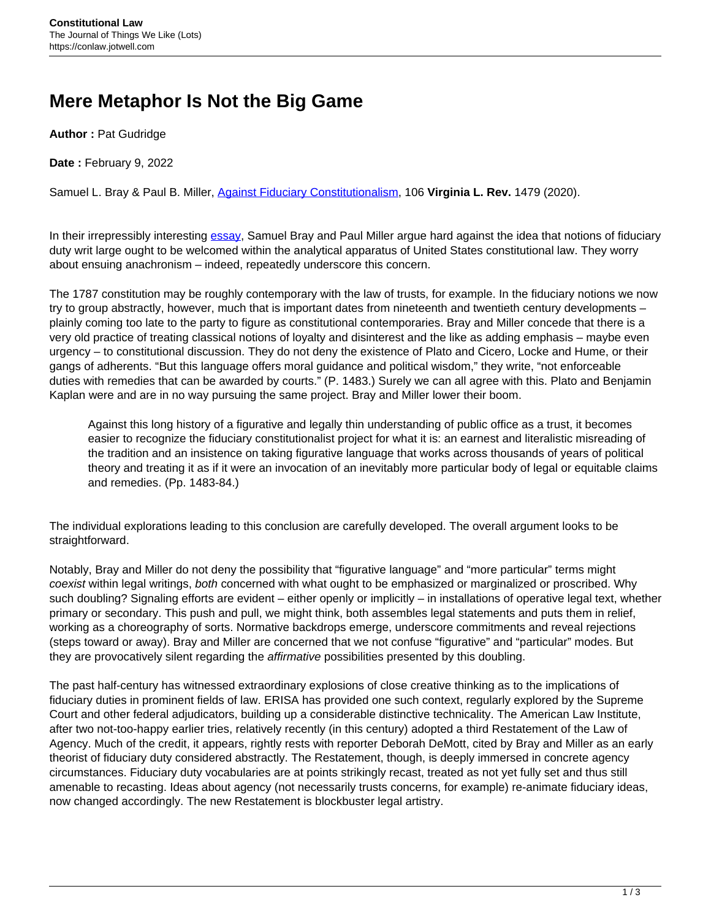## **Mere Metaphor Is Not the Big Game**

**Author :** Pat Gudridge

**Date :** February 9, 2022

Samuel L. Bray & Paul B. Miller, [Against Fiduciary Constitutionalism](https://www.virginialawreview.org/articles/against-fiduciary-constitutionalism/), 106 **Virginia L. Rev.** 1479 (2020).

In their irrepressibly interesting [essay,](https://www.virginialawreview.org/articles/against-fiduciary-constitutionalism/) Samuel Bray and Paul Miller argue hard against the idea that notions of fiduciary duty writ large ought to be welcomed within the analytical apparatus of United States constitutional law. They worry about ensuing anachronism – indeed, repeatedly underscore this concern.

The 1787 constitution may be roughly contemporary with the law of trusts, for example. In the fiduciary notions we now try to group abstractly, however, much that is important dates from nineteenth and twentieth century developments – plainly coming too late to the party to figure as constitutional contemporaries. Bray and Miller concede that there is a very old practice of treating classical notions of loyalty and disinterest and the like as adding emphasis – maybe even urgency – to constitutional discussion. They do not deny the existence of Plato and Cicero, Locke and Hume, or their gangs of adherents. "But this language offers moral guidance and political wisdom," they write, "not enforceable duties with remedies that can be awarded by courts." (P. 1483.) Surely we can all agree with this. Plato and Benjamin Kaplan were and are in no way pursuing the same project. Bray and Miller lower their boom.

Against this long history of a figurative and legally thin understanding of public office as a trust, it becomes easier to recognize the fiduciary constitutionalist project for what it is: an earnest and literalistic misreading of the tradition and an insistence on taking figurative language that works across thousands of years of political theory and treating it as if it were an invocation of an inevitably more particular body of legal or equitable claims and remedies. (Pp. 1483-84.)

The individual explorations leading to this conclusion are carefully developed. The overall argument looks to be straightforward.

Notably, Bray and Miller do not deny the possibility that "figurative language" and "more particular" terms might coexist within legal writings, both concerned with what ought to be emphasized or marginalized or proscribed. Why such doubling? Signaling efforts are evident – either openly or implicitly – in installations of operative legal text, whether primary or secondary. This push and pull, we might think, both assembles legal statements and puts them in relief, working as a choreography of sorts. Normative backdrops emerge, underscore commitments and reveal rejections (steps toward or away). Bray and Miller are concerned that we not confuse "figurative" and "particular" modes. But they are provocatively silent regarding the *affirmative* possibilities presented by this doubling.

The past half-century has witnessed extraordinary explosions of close creative thinking as to the implications of fiduciary duties in prominent fields of law. ERISA has provided one such context, regularly explored by the Supreme Court and other federal adjudicators, building up a considerable distinctive technicality. The American Law Institute, after two not-too-happy earlier tries, relatively recently (in this century) adopted a third Restatement of the Law of Agency. Much of the credit, it appears, rightly rests with reporter Deborah DeMott, cited by Bray and Miller as an early theorist of fiduciary duty considered abstractly. The Restatement, though, is deeply immersed in concrete agency circumstances. Fiduciary duty vocabularies are at points strikingly recast, treated as not yet fully set and thus still amenable to recasting. Ideas about agency (not necessarily trusts concerns, for example) re-animate fiduciary ideas, now changed accordingly. The new Restatement is blockbuster legal artistry.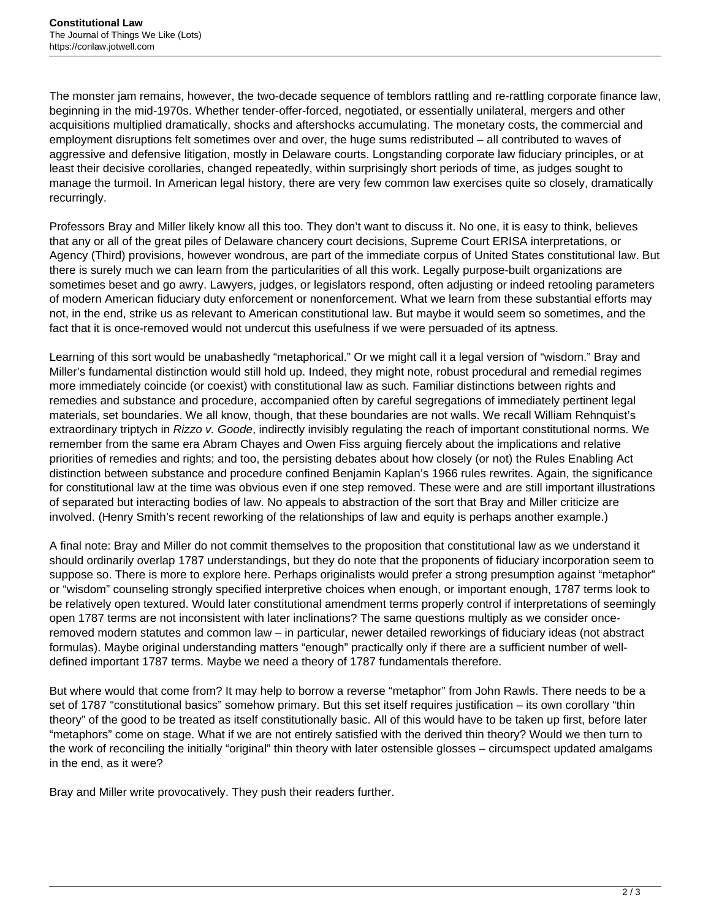The monster jam remains, however, the two-decade sequence of temblors rattling and re-rattling corporate finance law, beginning in the mid-1970s. Whether tender-offer-forced, negotiated, or essentially unilateral, mergers and other acquisitions multiplied dramatically, shocks and aftershocks accumulating. The monetary costs, the commercial and employment disruptions felt sometimes over and over, the huge sums redistributed – all contributed to waves of aggressive and defensive litigation, mostly in Delaware courts. Longstanding corporate law fiduciary principles, or at least their decisive corollaries, changed repeatedly, within surprisingly short periods of time, as judges sought to manage the turmoil. In American legal history, there are very few common law exercises quite so closely, dramatically recurringly.

Professors Bray and Miller likely know all this too. They don't want to discuss it. No one, it is easy to think, believes that any or all of the great piles of Delaware chancery court decisions, Supreme Court ERISA interpretations, or Agency (Third) provisions, however wondrous, are part of the immediate corpus of United States constitutional law. But there is surely much we can learn from the particularities of all this work. Legally purpose-built organizations are sometimes beset and go awry. Lawyers, judges, or legislators respond, often adjusting or indeed retooling parameters of modern American fiduciary duty enforcement or nonenforcement. What we learn from these substantial efforts may not, in the end, strike us as relevant to American constitutional law. But maybe it would seem so sometimes, and the fact that it is once-removed would not undercut this usefulness if we were persuaded of its aptness.

Learning of this sort would be unabashedly "metaphorical." Or we might call it a legal version of "wisdom." Bray and Miller's fundamental distinction would still hold up. Indeed, they might note, robust procedural and remedial regimes more immediately coincide (or coexist) with constitutional law as such. Familiar distinctions between rights and remedies and substance and procedure, accompanied often by careful segregations of immediately pertinent legal materials, set boundaries. We all know, though, that these boundaries are not walls. We recall William Rehnquist's extraordinary triptych in Rizzo v. Goode, indirectly invisibly regulating the reach of important constitutional norms. We remember from the same era Abram Chayes and Owen Fiss arguing fiercely about the implications and relative priorities of remedies and rights; and too, the persisting debates about how closely (or not) the Rules Enabling Act distinction between substance and procedure confined Benjamin Kaplan's 1966 rules rewrites. Again, the significance for constitutional law at the time was obvious even if one step removed. These were and are still important illustrations of separated but interacting bodies of law. No appeals to abstraction of the sort that Bray and Miller criticize are involved. (Henry Smith's recent reworking of the relationships of law and equity is perhaps another example.)

A final note: Bray and Miller do not commit themselves to the proposition that constitutional law as we understand it should ordinarily overlap 1787 understandings, but they do note that the proponents of fiduciary incorporation seem to suppose so. There is more to explore here. Perhaps originalists would prefer a strong presumption against "metaphor" or "wisdom" counseling strongly specified interpretive choices when enough, or important enough, 1787 terms look to be relatively open textured. Would later constitutional amendment terms properly control if interpretations of seemingly open 1787 terms are not inconsistent with later inclinations? The same questions multiply as we consider onceremoved modern statutes and common law – in particular, newer detailed reworkings of fiduciary ideas (not abstract formulas). Maybe original understanding matters "enough" practically only if there are a sufficient number of welldefined important 1787 terms. Maybe we need a theory of 1787 fundamentals therefore.

But where would that come from? It may help to borrow a reverse "metaphor" from John Rawls. There needs to be a set of 1787 "constitutional basics" somehow primary. But this set itself requires justification – its own corollary "thin theory" of the good to be treated as itself constitutionally basic. All of this would have to be taken up first, before later "metaphors" come on stage. What if we are not entirely satisfied with the derived thin theory? Would we then turn to the work of reconciling the initially "original" thin theory with later ostensible glosses – circumspect updated amalgams in the end, as it were?

Bray and Miller write provocatively. They push their readers further.